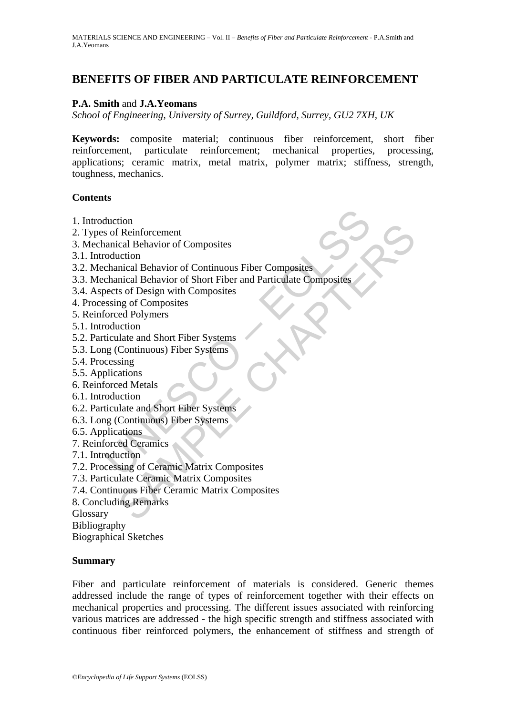# **BENEFITS OF FIBER AND PARTICULATE REINFORCEMENT**

#### **P.A. Smith** and **J.A.Yeomans**

*School of Engineering, University of Surrey, Guildford, Surrey, GU2 7XH, UK* 

**Keywords:** composite material; continuous fiber reinforcement, short fiber reinforcement, particulate reinforcement; mechanical properties, processing, applications; ceramic matrix, metal matrix, polymer matrix; stiffness, strength, toughness, mechanics.

#### **Contents**

- 1. Introduction
- 2. Types of Reinforcement
- 3. Mechanical Behavior of Composites
- 3.1. Introduction
- 3.2. Mechanical Behavior of Continuous Fiber Composites
- duction<br>
sof Reinforcement<br>
annical Behavior of Composites<br>
coluction<br>
chanical Behavior of Continuous Fiber Composites<br>
chanical Behavior of Short Fiber and Particulate Composites<br>
sessing of Composites<br>
sessing of Compos tion<br>
The Reinforcement<br>
It Reinforcement<br>
It and Behavior of Composites<br>
Inicial Behavior of Chort Fiber and Particulate Composites<br>
It is of Design with Composites<br>
It is of Composites<br>
It are and Short Fiber Systems<br>
Co 3.3. Mechanical Behavior of Short Fiber and Particulate Composites
- 3.4. Aspects of Design with Composites
- 4. Processing of Composites
- 5. Reinforced Polymers
- 5.1. Introduction
- 5.2. Particulate and Short Fiber Systems
- 5.3. Long (Continuous) Fiber Systems
- 5.4. Processing
- 5.5. Applications
- 6. Reinforced Metals
- 6.1. Introduction
- 6.2. Particulate and Short Fiber Systems
- 6.3. Long (Continuous) Fiber Systems
- 6.5. Applications
- 7. Reinforced Ceramics
- 7.1. Introduction
- 7.2. Processing of Ceramic Matrix Composites
- 7.3. Particulate Ceramic Matrix Composites
- 7.4. Continuous Fiber Ceramic Matrix Composites
- 8. Concluding Remarks

Glossary

Bibliography

Biographical Sketches

#### **Summary**

Fiber and particulate reinforcement of materials is considered. Generic themes addressed include the range of types of reinforcement together with their effects on mechanical properties and processing. The different issues associated with reinforcing various matrices are addressed - the high specific strength and stiffness associated with continuous fiber reinforced polymers, the enhancement of stiffness and strength of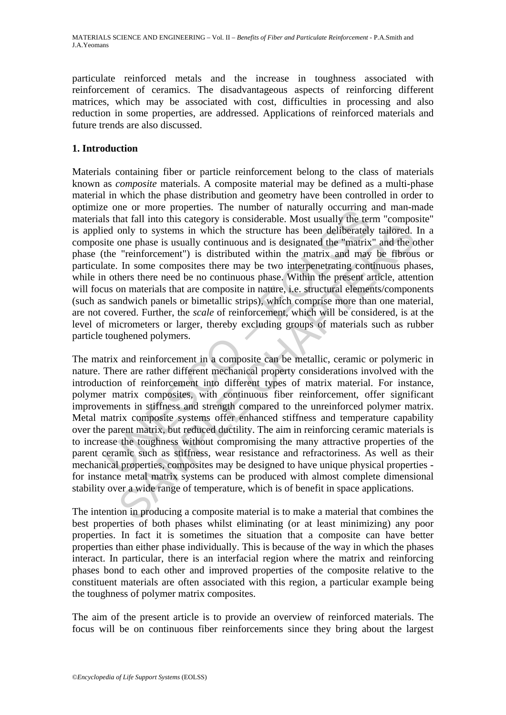particulate reinforced metals and the increase in toughness associated with reinforcement of ceramics. The disadvantageous aspects of reinforcing different matrices, which may be associated with cost, difficulties in processing and also reduction in some properties, are addressed. Applications of reinforced materials and future trends are also discussed.

## **1. Introduction**

<sup>1</sup> one of more poperus. The immore on naturary occurring<br>to the cent on the proteins. The immore on naturally outcomparated only to systems in which the structure has been deliberately<br>ite one phase is usually continuous Materials containing fiber or particle reinforcement belong to the class of materials known as *composite* materials. A composite material may be defined as a multi-phase material in which the phase distribution and geometry have been controlled in order to optimize one or more properties. The number of naturally occurring and man-made materials that fall into this category is considerable. Most usually the term "composite" is applied only to systems in which the structure has been deliberately tailored. In a composite one phase is usually continuous and is designated the "matrix" and the other phase (the "reinforcement") is distributed within the matrix and may be fibrous or particulate. In some composites there may be two interpenetrating continuous phases, while in others there need be no continuous phase. Within the present article, attention will focus on materials that are composite in nature, i.e. structural elements/components (such as sandwich panels or bimetallic strips), which comprise more than one material, are not covered. Further, the *scale* of reinforcement, which will be considered, is at the level of micrometers or larger, thereby excluding groups of materials such as rubber particle toughened polymers.

only to systems in which the structure has been deliberately tailored.<br>One phase is usually continuous and is designated the "matrix" and the "reinforcement") is distributed within the natrix and matery and the "reinforcem The matrix and reinforcement in a composite can be metallic, ceramic or polymeric in nature. There are rather different mechanical property considerations involved with the introduction of reinforcement into different types of matrix material. For instance, polymer matrix composites, with continuous fiber reinforcement, offer significant improvements in stiffness and strength compared to the unreinforced polymer matrix. Metal matrix composite systems offer enhanced stiffness and temperature capability over the parent matrix, but reduced ductility. The aim in reinforcing ceramic materials is to increase the toughness without compromising the many attractive properties of the parent ceramic such as stiffness, wear resistance and refractoriness. As well as their mechanical properties, composites may be designed to have unique physical properties for instance metal matrix systems can be produced with almost complete dimensional stability over a wide range of temperature, which is of benefit in space applications.

The intention in producing a composite material is to make a material that combines the best properties of both phases whilst eliminating (or at least minimizing) any poor properties. In fact it is sometimes the situation that a composite can have better properties than either phase individually. This is because of the way in which the phases interact. In particular, there is an interfacial region where the matrix and reinforcing phases bond to each other and improved properties of the composite relative to the constituent materials are often associated with this region, a particular example being the toughness of polymer matrix composites.

The aim of the present article is to provide an overview of reinforced materials. The focus will be on continuous fiber reinforcements since they bring about the largest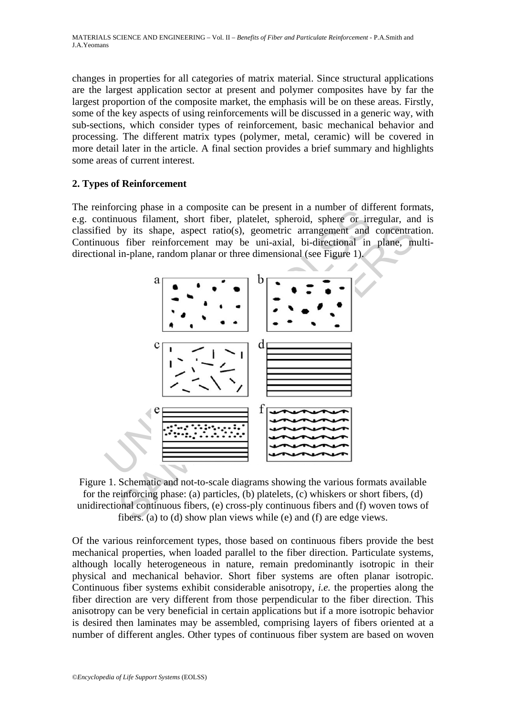changes in properties for all categories of matrix material. Since structural applications are the largest application sector at present and polymer composites have by far the largest proportion of the composite market, the emphasis will be on these areas. Firstly, some of the key aspects of using reinforcements will be discussed in a generic way, with sub-sections, which consider types of reinforcement, basic mechanical behavior and processing. The different matrix types (polymer, metal, ceramic) will be covered in more detail later in the article. A final section provides a brief summary and highlights some areas of current interest.

### **2. Types of Reinforcement**

The reinforcing phase in a composite can be present in a number of different formats, e.g. continuous filament, short fiber, platelet, spheroid, sphere or irregular, and is classified by its shape, aspect ratio(s), geometric arrangement and concentration. Continuous fiber reinforcement may be uni-axial, bi-directional in plane, multidirectional in-plane, random planar or three dimensional (see Figure 1).



Figure 1. Schematic and not-to-scale diagrams showing the various formats available for the reinforcing phase: (a) particles, (b) platelets, (c) whiskers or short fibers, (d) unidirectional continuous fibers, (e) cross-ply continuous fibers and (f) woven tows of fibers. (a) to (d) show plan views while (e) and (f) are edge views.

Of the various reinforcement types, those based on continuous fibers provide the best mechanical properties, when loaded parallel to the fiber direction. Particulate systems, although locally heterogeneous in nature, remain predominantly isotropic in their physical and mechanical behavior. Short fiber systems are often planar isotropic. Continuous fiber systems exhibit considerable anisotropy, *i.e.* the properties along the fiber direction are very different from those perpendicular to the fiber direction. This anisotropy can be very beneficial in certain applications but if a more isotropic behavior is desired then laminates may be assembled, comprising layers of fibers oriented at a number of different angles. Other types of continuous fiber system are based on woven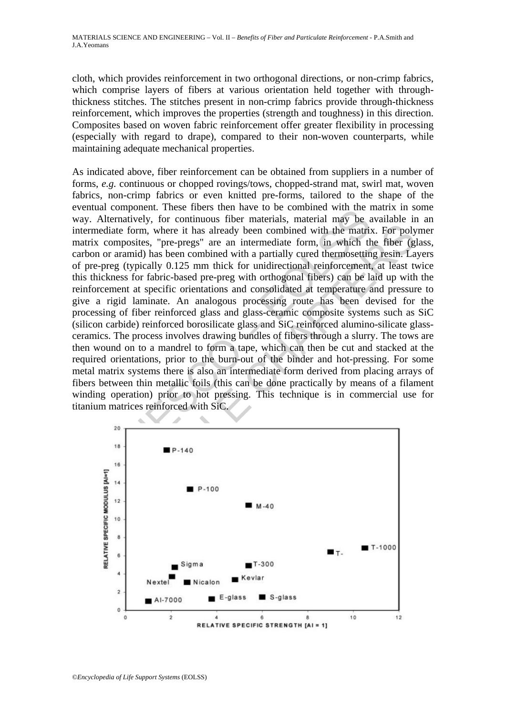cloth, which provides reinforcement in two orthogonal directions, or non-crimp fabrics, which comprise layers of fibers at various orientation held together with throughthickness stitches. The stitches present in non-crimp fabrics provide through-thickness reinforcement, which improves the properties (strength and toughness) in this direction. Composites based on woven fabric reinforcement offer greater flexibility in processing (especially with regard to drape), compared to their non-woven counterparts, while maintaining adequate mechanical properties.

From the model in the matter to be commonlined that the internal theorem. The<br>experimentatively, for continuous fiber materials, material may be a<br>diate form, where it has already been combined with the matrix<br>composites, Example 1.1 The model of the matrix of the matrix. For polyquosites, "pre-pregs" are an intermediate form, in which the fiber (g) monoids with a partially cured thermoresting resints. Let  $\frac{1}{2}$  (typically 0.125 mm thi As indicated above, fiber reinforcement can be obtained from suppliers in a number of forms, *e.g.* continuous or chopped rovings/tows, chopped-strand mat, swirl mat, woven fabrics, non-crimp fabrics or even knitted pre-forms, tailored to the shape of the eventual component. These fibers then have to be combined with the matrix in some way. Alternatively, for continuous fiber materials, material may be available in an intermediate form, where it has already been combined with the matrix. For polymer matrix composites, "pre-pregs" are an intermediate form, in which the fiber (glass, carbon or aramid) has been combined with a partially cured thermosetting resin. Layers of pre-preg (typically 0.125 mm thick for unidirectional reinforcement, at least twice this thickness for fabric-based pre-preg with orthogonal fibers) can be laid up with the reinforcement at specific orientations and consolidated at temperature and pressure to give a rigid laminate. An analogous processing route has been devised for the processing of fiber reinforced glass and glass-ceramic composite systems such as SiC (silicon carbide) reinforced borosilicate glass and SiC reinforced alumino-silicate glassceramics. The process involves drawing bundles of fibers through a slurry. The tows are then wound on to a mandrel to form a tape, which can then be cut and stacked at the required orientations, prior to the burn-out of the binder and hot-pressing. For some metal matrix systems there is also an intermediate form derived from placing arrays of fibers between thin metallic foils (this can be done practically by means of a filament winding operation) prior to hot pressing. This technique is in commercial use for titanium matrices reinforced with SiC.

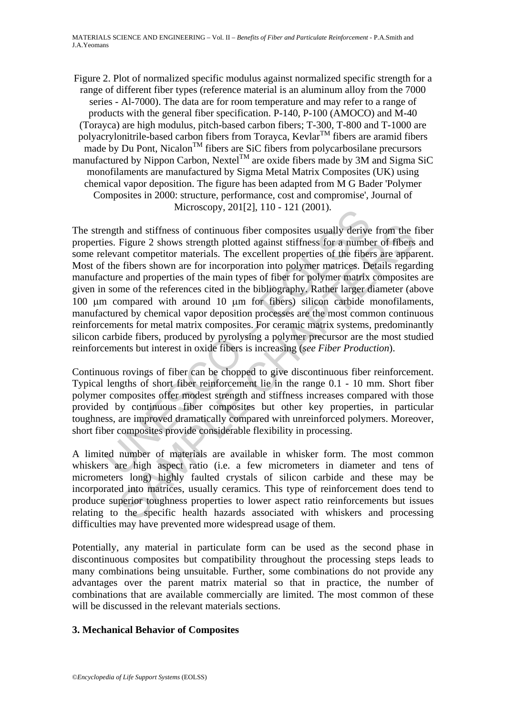Figure 2. Plot of normalized specific modulus against normalized specific strength for a range of different fiber types (reference material is an aluminum alloy from the 7000 series - Al-7000). The data are for room temperature and may refer to a range of products with the general fiber specification. P-140, P-100 (AMOCO) and M-40 (Torayca) are high modulus, pitch-based carbon fibers; T-300, T-800 and T-1000 are polyacrylonitrile-based carbon fibers from Torayca, Kevlar<sup>TM</sup> fibers are aramid fibers made by Du Pont, Nicalon<sup>TM</sup> fibers are SiC fibers from polycarbosilane precursors manufactured by Nippon Carbon, Nextel $^{TM}$  are oxide fibers made by 3M and Sigma SiC monofilaments are manufactured by Sigma Metal Matrix Composites (UK) using chemical vapor deposition. The figure has been adapted from M G Bader 'Polymer Composites in 2000: structure, performance, cost and compromise', Journal of Microscopy, 201[2], 110 - 121 (2001).

matrix solutions in the continuous fiber composites usually derive<br>es. Figure 2 shows strength plotted against stiffness for a numbe<br>levant competitor materials. The excellent properties of the fiber<br>the fibers shown are th and stiffness of continuous fiber composites usually derive from the Figure 2 shows strength plotted against stiffness for a number of fibers ant competitor materials. The excellent properties of the fibers are appare The strength and stiffness of continuous fiber composites usually derive from the fiber properties. Figure 2 shows strength plotted against stiffness for a number of fibers and some relevant competitor materials. The excellent properties of the fibers are apparent. Most of the fibers shown are for incorporation into polymer matrices. Details regarding manufacture and properties of the main types of fiber for polymer matrix composites are given in some of the references cited in the bibliography. Rather larger diameter (above 100 μm compared with around 10 μm for fibers) silicon carbide monofilaments, manufactured by chemical vapor deposition processes are the most common continuous reinforcements for metal matrix composites. For ceramic matrix systems, predominantly silicon carbide fibers, produced by pyrolysing a polymer precursor are the most studied reinforcements but interest in oxide fibers is increasing (*see Fiber Production*).

Continuous rovings of fiber can be chopped to give discontinuous fiber reinforcement. Typical lengths of short fiber reinforcement lie in the range 0.1 - 10 mm. Short fiber polymer composites offer modest strength and stiffness increases compared with those provided by continuous fiber composites but other key properties, in particular toughness, are improved dramatically compared with unreinforced polymers. Moreover, short fiber composites provide considerable flexibility in processing.

A limited number of materials are available in whisker form. The most common whiskers are high aspect ratio (i.e. a few micrometers in diameter and tens of micrometers long) highly faulted crystals of silicon carbide and these may be incorporated into matrices, usually ceramics. This type of reinforcement does tend to produce superior toughness properties to lower aspect ratio reinforcements but issues relating to the specific health hazards associated with whiskers and processing difficulties may have prevented more widespread usage of them.

Potentially, any material in particulate form can be used as the second phase in discontinuous composites but compatibility throughout the processing steps leads to many combinations being unsuitable. Further, some combinations do not provide any advantages over the parent matrix material so that in practice, the number of combinations that are available commercially are limited. The most common of these will be discussed in the relevant materials sections.

# **3. Mechanical Behavior of Composites**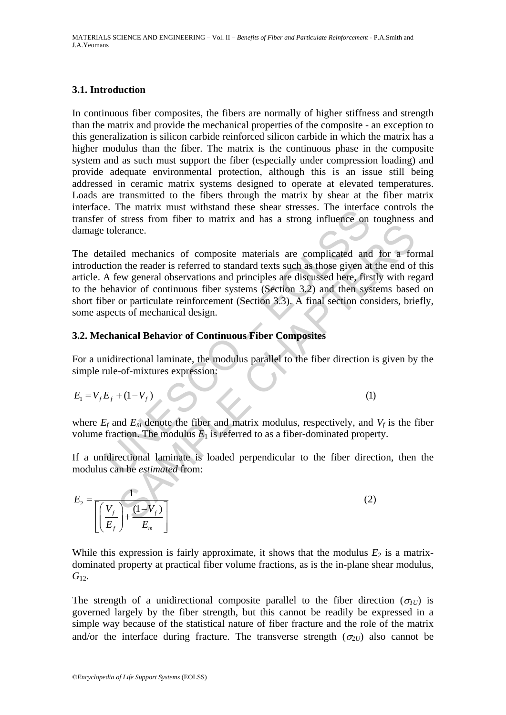## **3.1. Introduction**

In continuous fiber composites, the fibers are normally of higher stiffness and strength than the matrix and provide the mechanical properties of the composite - an exception to this generalization is silicon carbide reinforced silicon carbide in which the matrix has a higher modulus than the fiber. The matrix is the continuous phase in the composite system and as such must support the fiber (especially under compression loading) and provide adequate environmental protection, although this is an issue still being addressed in ceramic matrix systems designed to operate at elevated temperatures. Loads are transmitted to the fibers through the matrix by shear at the fiber matrix interface. The matrix must withstand these shear stresses. The interface controls the transfer of stress from fiber to matrix and has a strong influence on toughness and damage tolerance.

E. The matrix must whistend diese sheal suesses. The merida of stress from fiber to matrix and has a strong influence on tolerance.<br>
tailed mechanics of composite materials are complicated and their extended in the reader erance.<br>
ed mechanics of composite materials are complicated and for a form the reader is referred to standard texts such as those given at the end of<br>
ew general observations and principles are discussed here, firstly wi The detailed mechanics of composite materials are complicated and for a formal introduction the reader is referred to standard texts such as those given at the end of this article. A few general observations and principles are discussed here, firstly with regard to the behavior of continuous fiber systems (Section 3.2) and then systems based on short fiber or particulate reinforcement (Section 3.3). A final section considers, briefly, some aspects of mechanical design.

# **3.2. Mechanical Behavior of Continuous Fiber Composites**

For a unidirectional laminate, the modulus parallel to the fiber direction is given by the simple rule-of-mixtures expression:

$$
E_1 = V_f E_f + (1 - V_f) \tag{1}
$$

where  $E_f$  and  $E_m$  denote the fiber and matrix modulus, respectively, and  $V_f$  is the fiber volume fraction. The modulus  $E_1$  is referred to as a fiber-dominated property.

If a unidirectional laminate is loaded perpendicular to the fiber direction, then the modulus can be *estimated* from:

$$
E_2 = \frac{1}{\left[ \left( \frac{V_f}{E_f} \right) + \frac{(1 - V_f)}{E_m} \right]}
$$
(2)

While this expression is fairly approximate, it shows that the modulus  $E_2$  is a matrixdominated property at practical fiber volume fractions, as is the in-plane shear modulus, G<sub>12</sub>.

The strength of a unidirectional composite parallel to the fiber direction  $(\sigma_{UU})$  is governed largely by the fiber strength, but this cannot be readily be expressed in a simple way because of the statistical nature of fiber fracture and the role of the matrix and/or the interface during fracture. The transverse strength  $(\sigma_{UU})$  also cannot be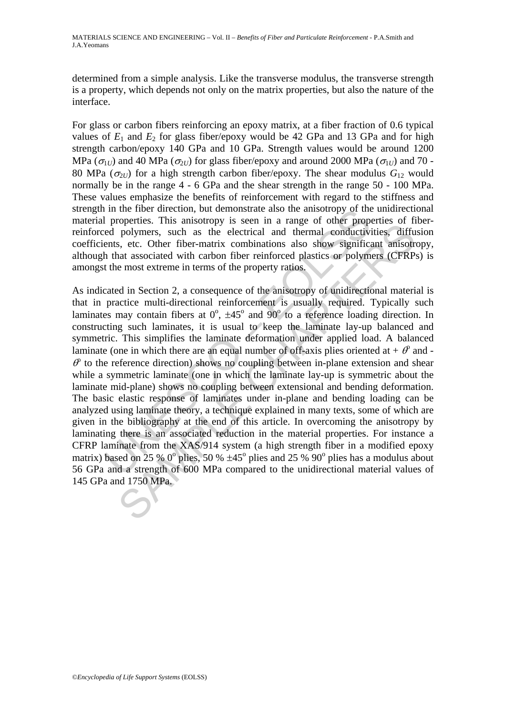determined from a simple analysis. Like the transverse modulus, the transverse strength is a property, which depends not only on the matrix properties, but also the nature of the interface.

For glass or carbon fibers reinforcing an epoxy matrix, at a fiber fraction of 0.6 typical values of  $E_1$  and  $E_2$  for glass fiber/epoxy would be 42 GPa and 13 GPa and for high strength carbon/epoxy 140 GPa and 10 GPa. Strength values would be around 1200 MPa ( $\sigma_{1U}$ ) and 40 MPa ( $\sigma_{2U}$ ) for glass fiber/epoxy and around 2000 MPa ( $\sigma_{1U}$ ) and 70 -80 MPa ( $\sigma_{2U}$ ) for a high strength carbon fiber/epoxy. The shear modulus  $G_{12}$  would normally be in the range 4 - 6 GPa and the shear strength in the range 50 - 100 MPa. These values emphasize the benefits of reinforcement with regard to the stiffness and strength in the fiber direction, but demonstrate also the anisotropy of the unidirectional material properties. This anisotropy is seen in a range of other properties of fiberreinforced polymers, such as the electrical and thermal conductivities, diffusion coefficients, etc. Other fiber-matrix combinations also show significant anisotropy, although that associated with carbon fiber reinforced plastics or polymers (CFRPs) is amongst the most extreme in terms of the property ratios.

i properties. This anisotropy is seen in a range of other properties and a temporation properties and a range of other properties, etc. Other fiber-matrix combinations also show significe end polymers, such as the electri polymers, such an subsetimal and thermal range of ourse proportions. This such as the electrical and thermal conductivities, diffused as the setter matrix combinations also show significant anisotrat associated with carbo As indicated in Section 2, a consequence of the anisotropy of unidirectional material is that in practice multi-directional reinforcement is usually required. Typically such laminates may contain fibers at  $0^{\circ}$ ,  $\pm 45^{\circ}$  and  $90^{\circ}$  to a reference loading direction. In constructing such laminates, it is usual to keep the laminate lay-up balanced and symmetric. This simplifies the laminate deformation under applied load. A balanced laminate (one in which there are an equal number of off-axis plies oriented at  $+ \theta$  and - $\theta$  to the reference direction) shows no coupling between in-plane extension and shear while a symmetric laminate (one in which the laminate lay-up is symmetric about the laminate mid-plane) shows no coupling between extensional and bending deformation. The basic elastic response of laminates under in-plane and bending loading can be analyzed using laminate theory, a technique explained in many texts, some of which are given in the bibliography at the end of this article. In overcoming the anisotropy by laminating there is an associated reduction in the material properties. For instance a CFRP laminate from the XAS/914 system (a high strength fiber in a modified epoxy matrix) based on 25 %  $0^{\circ}$  plies, 50 %  $\pm 45^{\circ}$  plies and 25 %  $90^{\circ}$  plies has a modulus about 56 GPa and a strength of 600 MPa compared to the unidirectional material values of 145 GPa and 1750 MPa.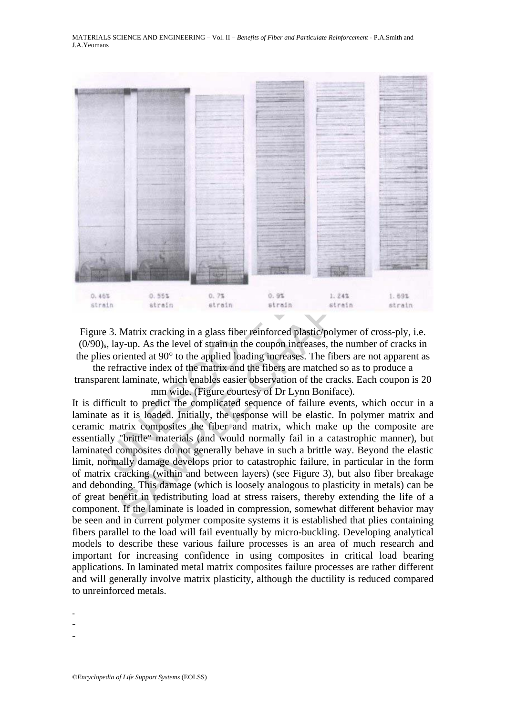

Figure 3. Matrix cracking in a glass fiber reinforced plastic/polymer of cross-ply, i.e. (0/90)s, lay-up. As the level of strain in the coupon increases, the number of cracks in the plies oriented at 90° to the applied loading increases. The fibers are not apparent as

the refractive index of the matrix and the fibers are matched so as to produce a transparent laminate, which enables easier observation of the cracks. Each coupon is 20 mm wide. (Figure courtesy of Dr Lynn Boniface).

SAMPLE CHAPTERS It is difficult to predict the complicated sequence of failure events, which occur in a laminate as it is loaded. Initially, the response will be elastic. In polymer matrix and ceramic matrix composites the fiber and matrix, which make up the composite are essentially "brittle" materials (and would normally fail in a catastrophic manner), but laminated composites do not generally behave in such a brittle way. Beyond the elastic limit, normally damage develops prior to catastrophic failure, in particular in the form of matrix cracking (within and between layers) (see Figure 3), but also fiber breakage and debonding. This damage (which is loosely analogous to plasticity in metals) can be of great benefit in redistributing load at stress raisers, thereby extending the life of a component. If the laminate is loaded in compression, somewhat different behavior may be seen and in current polymer composite systems it is established that plies containing fibers parallel to the load will fail eventually by micro-buckling. Developing analytical models to describe these various failure processes is an area of much research and important for increasing confidence in using composites in critical load bearing applications. In laminated metal matrix composites failure processes are rather different and will generally involve matrix plasticity, although the ductility is reduced compared to unreinforced metals.

-

- -